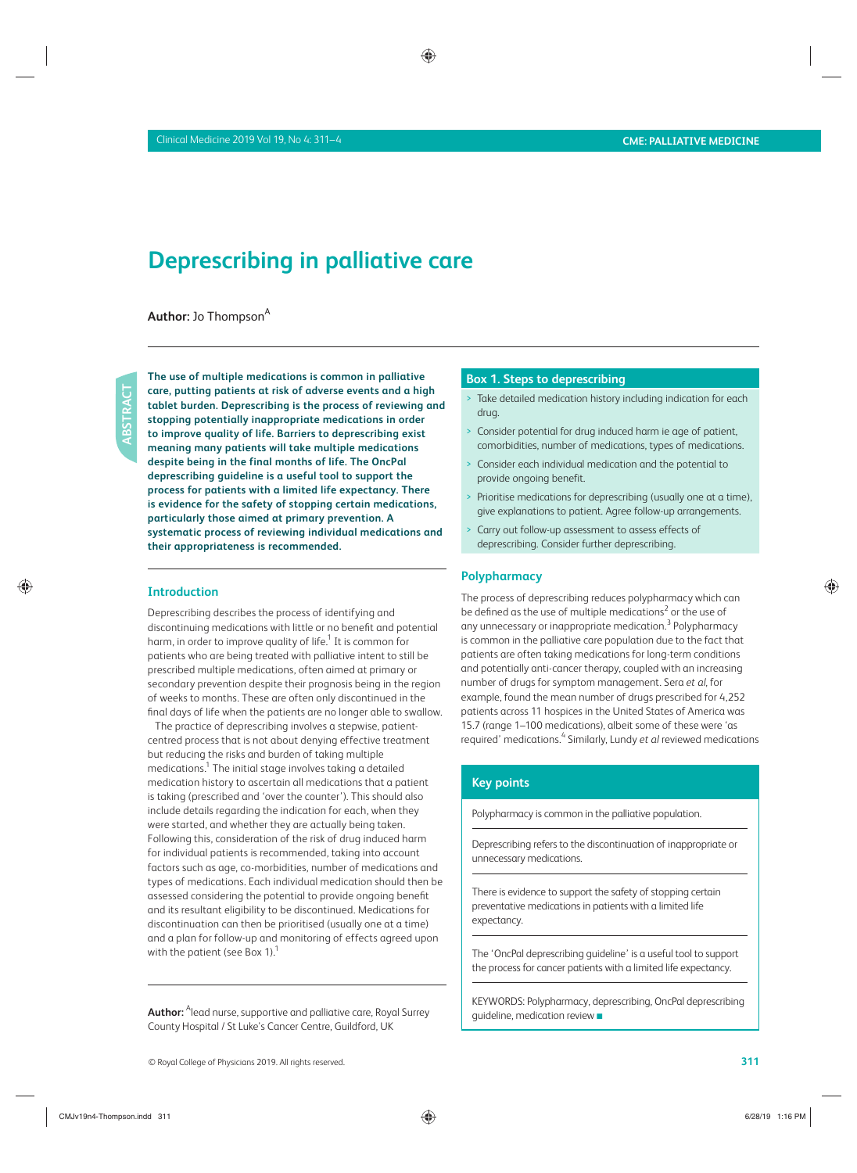# **Deprescribing in palliative care**

**Author: Jo Thompson**<sup>A</sup>

 **The use of multiple medications is common in palliative care, putting patients at risk of adverse events and a high tablet burden. Deprescribing is the process of reviewing and stopping potentially inappropriate medications in order to improve quality of life. Barriers to deprescribing exist meaning many patients will take multiple medications despite being in the final months of life. The OncPal deprescribing guideline is a useful tool to support the process for patients with a limited life expectancy. There is evidence for the safety of stopping certain medications, particularly those aimed at primary prevention. A systematic process of reviewing individual medications and their appropriateness is recommended.** 

### **Introduction**

 Deprescribing describes the process of identifying and discontinuing medications with little or no benefit and potential harm, in order to improve quality of life.<sup>1</sup> It is common for patients who are being treated with palliative intent to still be prescribed multiple medications, often aimed at primary or secondary prevention despite their prognosis being in the region of weeks to months. These are often only discontinued in the final days of life when the patients are no longer able to swallow.

 The practice of deprescribing involves a stepwise, patientcentred process that is not about denying effective treatment but reducing the risks and burden of taking multiple medications. $^1$  The initial stage involves taking a detailed medication history to ascertain all medications that a patient is taking (prescribed and 'over the counter'). This should also include details regarding the indication for each, when they were started, and whether they are actually being taken. Following this, consideration of the risk of drug induced harm for individual patients is recommended, taking into account factors such as age, co-morbidities, number of medications and types of medications. Each individual medication should then be assessed considering the potential to provide ongoing benefit and its resultant eligibility to be discontinued. Medications for discontinuation can then be prioritised (usually one at a time) and a plan for follow-up and monitoring of effects agreed upon with the patient (see Box 1). $<sup>1</sup>$ </sup>

Author: <sup>A</sup>lead nurse, supportive and palliative care, Royal Surrey County Hospital / St Luke's Cancer Centre, Guildford, UK

# **Box 1. Steps to deprescribing**

- > Take detailed medication history including indication for each drug.
- > Consider potential for drug induced harm ie age of patient, comorbidities, number of medications, types of medications.
- > Consider each individual medication and the potential to provide ongoing benefit.
- Prioritise medications for deprescribing (usually one at a time), give explanations to patient. Agree follow-up arrangements.
- > Carry out follow-up assessment to assess effects of deprescribing. Consider further deprescribing.

## **Polypharmacy**

 The process of deprescribing reduces polypharmacy which can be defined as the use of multiple medications<sup>2</sup> or the use of any unnecessary or inappropriate medication.<sup>3</sup> Polypharmacy is common in the palliative care population due to the fact that patients are often taking medications for long-term conditions and potentially anti-cancer therapy, coupled with an increasing number of drugs for symptom management. Sera et al, for example, found the mean number of drugs prescribed for 4,252 patients across 11 hospices in the United States of America was 15.7 (range 1–100 medications), albeit some of these were 'as required' medications.<sup>4</sup> Similarly, Lundy *et al* reviewed medications

# **Key points**

Polypharmacy is common in the palliative population.

 Deprescribing refers to the discontinuation of inappropriate or unnecessary medications.

 There is evidence to support the safety of stopping certain preventative medications in patients with a limited life expectancy.

 The 'OncPal deprescribing guideline' is a useful tool to support the process for cancer patients with a limited life expectancy.

 KEYWORDS: Polypharmacy, deprescribing, OncPal deprescribing guideline, medication review ■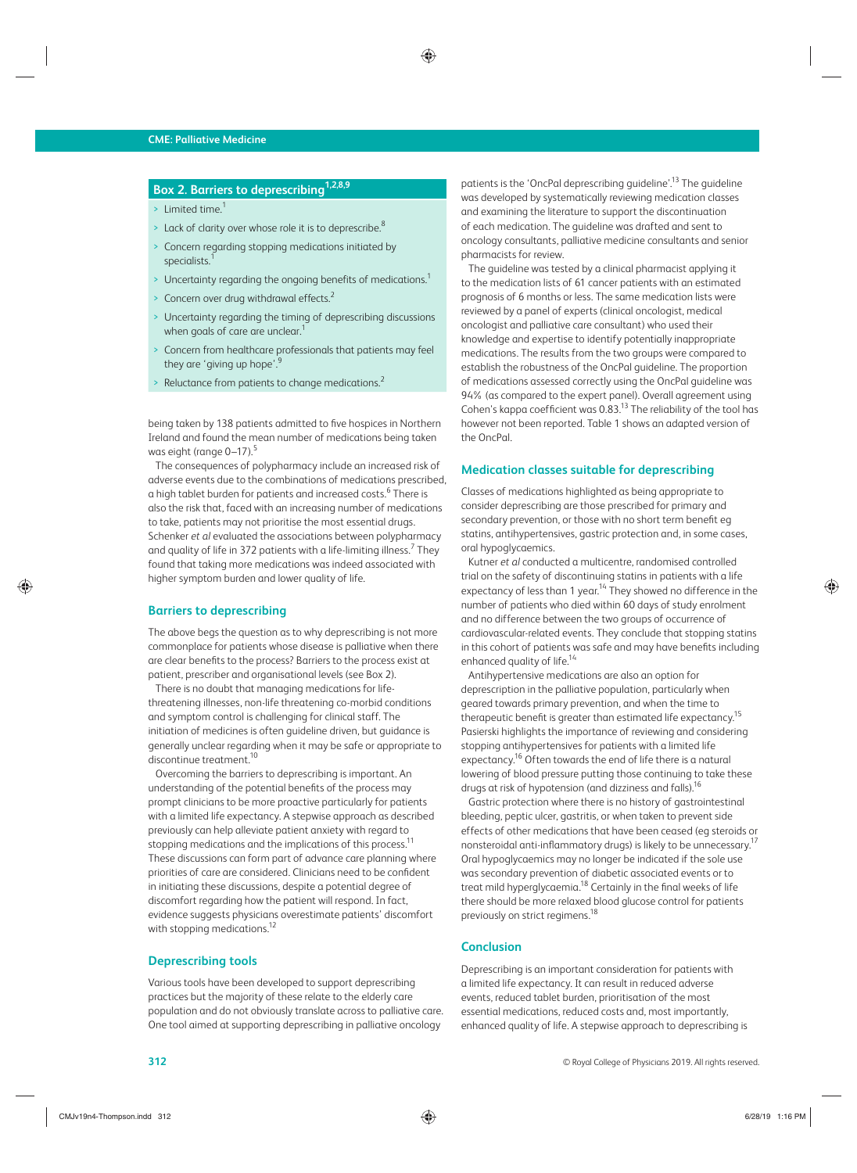# **Box 2. Barriers to deprescribing 1,2,8,9**

> Limited time.<sup>1</sup>

- > Lack of clarity over whose role it is to deprescribe.<sup>8</sup>
- > Concern regarding stopping medications initiated by specialists.<sup>1</sup>
- > Uncertainty regarding the ongoing benefits of medications.<sup>1</sup>
- > Concern over drug withdrawal effects.<sup>2</sup>
- > Uncertainty regarding the timing of deprescribing discussions when goals of care are unclear.<sup>1</sup>
- > Concern from healthcare professionals that patients may feel they are 'giving up hope'.<sup>9</sup>
- > Reluctance from patients to change medications.<sup>2</sup>

being taken by 138 patients admitted to five hospices in Northern Ireland and found the mean number of medications being taken was eight (range 0–17).<sup>5</sup>

 The consequences of polypharmacy include an increased risk of adverse events due to the combinations of medications prescribed, a high tablet burden for patients and increased costs.<sup>6</sup> There is also the risk that, faced with an increasing number of medications to take, patients may not prioritise the most essential drugs. Schenker *et al* evaluated the associations between polypharmacy and quality of life in 372 patients with a life-limiting illness. $^7$  They found that taking more medications was indeed associated with higher symptom burden and lower quality of life.

# **Barriers to deprescribing**

 The above begs the question as to why deprescribing is not more commonplace for patients whose disease is palliative when there are clear benefits to the process? Barriers to the process exist at patient, prescriber and organisational levels (see Box 2).

 There is no doubt that managing medications for lifethreatening illnesses, non-life threatening co-morbid conditions and symptom control is challenging for clinical staff. The initiation of medicines is often guideline driven, but guidance is generally unclear regarding when it may be safe or appropriate to discontinue treatment.<sup>10</sup>

 Overcoming the barriers to deprescribing is important. An understanding of the potential benefits of the process may prompt clinicians to be more proactive particularly for patients with a limited life expectancy. A stepwise approach as described previously can help alleviate patient anxiety with regard to stopping medications and the implications of this process.<sup>11</sup> These discussions can form part of advance care planning where priorities of care are considered. Clinicians need to be confident in initiating these discussions, despite a potential degree of discomfort regarding how the patient will respond. In fact, evidence suggests physicians overestimate patients' discomfort with stopping medications.<sup>12</sup>

#### **Deprescribing tools**

 Various tools have been developed to support deprescribing practices but the majority of these relate to the elderly care population and do not obviously translate across to palliative care. One tool aimed at supporting deprescribing in palliative oncology

patients is the 'OncPal deprescribing guideline'.<sup>13</sup> The guideline was developed by systematically reviewing medication classes and examining the literature to support the discontinuation of each medication. The guideline was drafted and sent to oncology consultants, palliative medicine consultants and senior pharmacists for review.

 The guideline was tested by a clinical pharmacist applying it to the medication lists of 61 cancer patients with an estimated prognosis of 6 months or less. The same medication lists were reviewed by a panel of experts (clinical oncologist, medical oncologist and palliative care consultant) who used their knowledge and expertise to identify potentially inappropriate medications. The results from the two groups were compared to establish the robustness of the OncPal guideline. The proportion of medications assessed correctly using the OncPal guideline was 94% (as compared to the expert panel). Overall agreement using Cohen's kappa coefficient was  $0.83^{13}$  The reliability of the tool has however not been reported. Table 1 shows an adapted version of the OncPal.

#### **Medication classes suitable for deprescribing**

 Classes of medications highlighted as being appropriate to consider deprescribing are those prescribed for primary and secondary prevention, or those with no short term benefit eg statins, antihypertensives, gastric protection and, in some cases, oral hypoglycaemics.

 Kutner *et al* conducted a multicentre, randomised controlled trial on the safety of discontinuing statins in patients with a life expectancy of less than 1 year.<sup>14</sup> They showed no difference in the number of patients who died within 60 days of study enrolment and no difference between the two groups of occurrence of cardiovascular-related events. They conclude that stopping statins in this cohort of patients was safe and may have benefits including enhanced quality of life.<sup>14</sup>

 Antihypertensive medications are also an option for deprescription in the palliative population, particularly when geared towards primary prevention, and when the time to therapeutic benefit is greater than estimated life expectancy.<sup>15</sup> Pasierski highlights the importance of reviewing and considering stopping antihypertensives for patients with a limited life expectancy.<sup>16</sup> Often towards the end of life there is a natural lowering of blood pressure putting those continuing to take these drugs at risk of hypotension (and dizziness and falls).<sup>16</sup>

 Gastric protection where there is no history of gastrointestinal bleeding, peptic ulcer, gastritis, or when taken to prevent side effects of other medications that have been ceased (eg steroids or nonsteroidal anti-inflammatory drugs) is likely to be unnecessary.<sup>17</sup> Oral hypoglycaemics may no longer be indicated if the sole use was secondary prevention of diabetic associated events or to treat mild hyperglycaemia.<sup>18</sup> Certainly in the final weeks of life there should be more relaxed blood glucose control for patients previously on strict regimens.<sup>18</sup>

#### **Conclusion**

 Deprescribing is an important consideration for patients with a limited life expectancy. It can result in reduced adverse events, reduced tablet burden, prioritisation of the most essential medications, reduced costs and, most importantly, enhanced quality of life. A stepwise approach to deprescribing is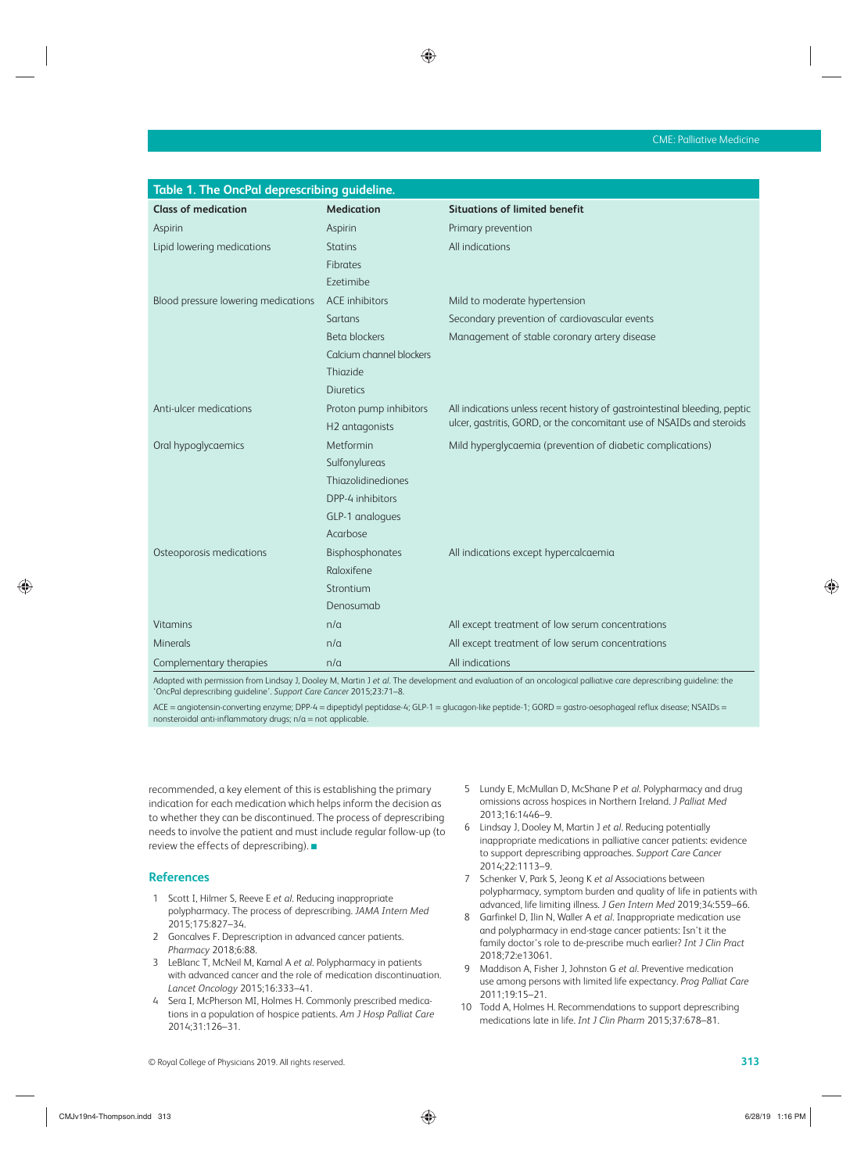| Table 1. The OncPal deprescribing guideline. |                            |                                                                                                                                                     |  |
|----------------------------------------------|----------------------------|-----------------------------------------------------------------------------------------------------------------------------------------------------|--|
| <b>Class of medication</b>                   | <b>Medication</b>          | <b>Situations of limited benefit</b>                                                                                                                |  |
| Aspirin                                      | Aspirin                    | Primary prevention                                                                                                                                  |  |
| Lipid lowering medications                   | <b>Statins</b>             | All indications                                                                                                                                     |  |
|                                              | <b>Fibrates</b>            |                                                                                                                                                     |  |
|                                              | Ezetimibe                  |                                                                                                                                                     |  |
| Blood pressure lowering medications          | <b>ACE</b> inhibitors      | Mild to moderate hypertension                                                                                                                       |  |
|                                              | Sartans                    | Secondary prevention of cardiovascular events                                                                                                       |  |
|                                              | Beta blockers              | Management of stable coronary artery disease                                                                                                        |  |
|                                              | Calcium channel blockers   |                                                                                                                                                     |  |
|                                              | Thiazide                   |                                                                                                                                                     |  |
|                                              | <b>Diuretics</b>           |                                                                                                                                                     |  |
| Anti-ulcer medications                       | Proton pump inhibitors     | All indications unless recent history of gastrointestinal bleeding, peptic<br>ulcer, gastritis, GORD, or the concomitant use of NSAIDs and steroids |  |
|                                              | H <sub>2</sub> antagonists |                                                                                                                                                     |  |
| Oral hypoglycaemics                          | Metformin                  | Mild hyperglycaemia (prevention of diabetic complications)                                                                                          |  |
|                                              | Sulfonylureas              |                                                                                                                                                     |  |
|                                              | Thiazolidinediones         |                                                                                                                                                     |  |
|                                              | DPP-4 inhibitors           |                                                                                                                                                     |  |
|                                              | GLP-1 analogues            |                                                                                                                                                     |  |
|                                              | Acarbose                   |                                                                                                                                                     |  |
| Osteoporosis medications                     | Bisphosphonates            | All indications except hypercalcaemia                                                                                                               |  |
|                                              | Raloxifene                 |                                                                                                                                                     |  |
|                                              | Strontium                  |                                                                                                                                                     |  |
|                                              | Denosumab                  |                                                                                                                                                     |  |
| <b>Vitamins</b>                              | n/a                        | All except treatment of low serum concentrations                                                                                                    |  |
| <b>Minerals</b>                              | n/a                        | All except treatment of low serum concentrations                                                                                                    |  |
| Complementary therapies                      | n/a                        | All indications                                                                                                                                     |  |

 Adapted with permission from Lindsay J, Dooley M, Martin J *et al* . The development and evaluation of an oncological palliative care deprescribing guideline: the 'OncPal deprescribing guideline'. *Support Care Cancer* 2015;23:71–8.

 ACE = angiotensin-converting enzyme; DPP-4 = dipeptidyl peptidase-4; GLP-1 = glucagon-like peptide-1; GORD = gastro-oesophageal reflux disease; NSAIDs = nonsteroidal anti-inflammatory drugs;  $n/a = not$  applicable.

recommended, a key element of this is establishing the primary indication for each medication which helps inform the decision as to whether they can be discontinued. The process of deprescribing needs to involve the patient and must include regular follow-up (to review the effects of deprescribing). ■

#### **References**

- 1 Scott I, Hilmer S, Reeve E et al. Reducing inappropriate polypharmacy. The process of deprescribing . *JAMA Intern Med* 2015;175:827-34.
- 2 Goncalves F. Deprescription in advanced cancer patients. Pharmacy 2018;6:88.
- 3 LeBlanc T, McNeil M, Kamal A et al. Polypharmacy in patients with advanced cancer and the role of medication discontinuation. Lancet Oncology 2015;16:333-41.
- 4 Sera I, McPherson MI, Holmes H. Commonly prescribed medications in a population of hospice patients . *Am J Hosp Palliat Care* 2014;31:126-31.
- 5 Lundy E, McMullan D, McShane P et al. Polypharmacy and drug omissions across hospices in Northern Ireland . *J Palliat Med* 2013;16:1446-9.
- 6 Lindsay J, Dooley M, Martin J et al. Reducing potentially inappropriate medications in palliative cancer patients: evidence to support deprescribing approaches . *Support Care Cancer*  $2014.22.1113 - 9$
- 7 Schenker V, Park S, Jeong K et al Associations between polypharmacy, symptom burden and quality of life in patients with advanced, life limiting illness. *J Gen Intern Med* 2019;34:559-66.
- 8 Garfinkel D, Ilin N, Waller A et al. Inappropriate medication use and polypharmacy in end-stage cancer patients: Isn't it the family doctor's role to de-prescribe much earlier? *Int J Clin Pract* 2018;72:e13061.
- 9 Maddison A, Fisher J, Johnston G et al. Preventive medication use among persons with limited life expectancy . *Prog Palliat Care* 2011;19:15-21.
- 10 Todd A, Holmes H. Recommendations to support deprescribing medications late in life. *Int J Clin Pharm* 2015;37:678-81.